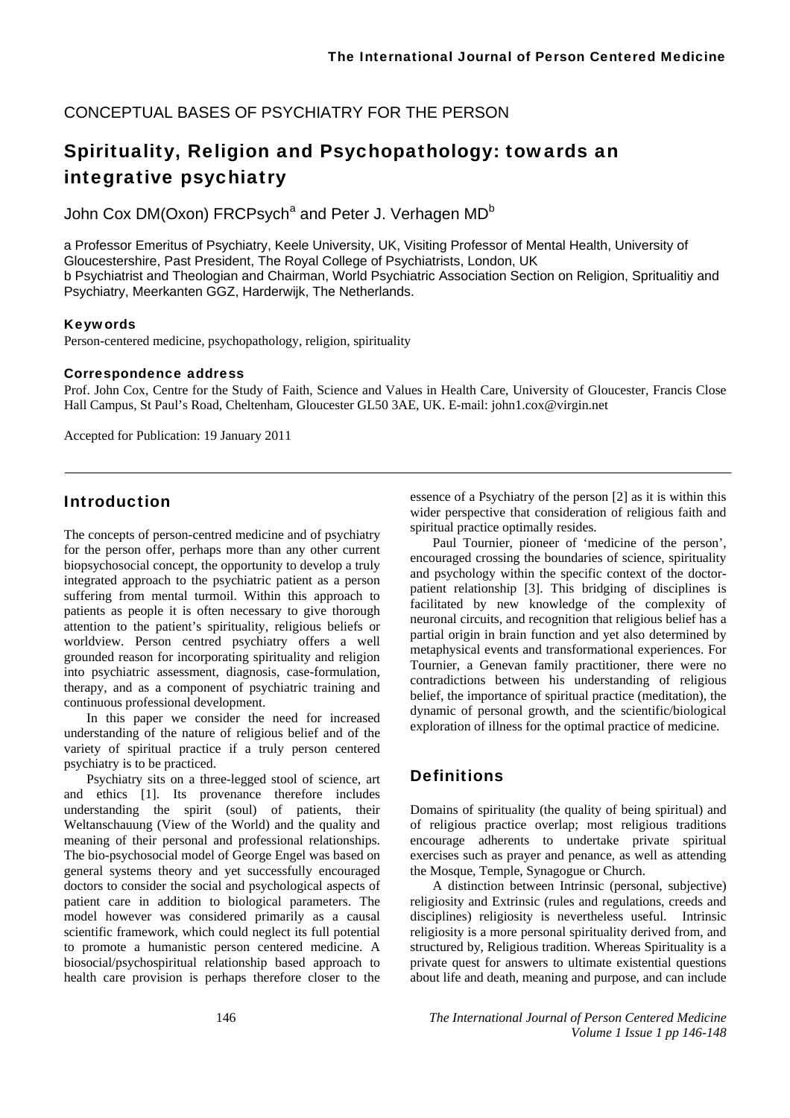CONCEPTUAL BASES OF PSYCHIATRY FOR THE PERSON

# Spirituality, Religion and Psychopathology: towards an integrative psychiatry

John Cox DM(Oxon) FRCPsych<sup>a</sup> and Peter J. Verhagen MD<sup>b</sup>

a Professor Emeritus of Psychiatry, Keele University, UK, Visiting Professor of Mental Health, University of Gloucestershire, Past President, The Royal College of Psychiatrists, London, UK b Psychiatrist and Theologian and Chairman, World Psychiatric Association Section on Religion, Spritualitiy and Psychiatry, Meerkanten GGZ, Harderwijk, The Netherlands.

#### Keywords

Person-centered medicine, psychopathology, religion, spirituality

#### Correspondence address

Prof. John Cox, Centre for the Study of Faith, Science and Values in Health Care, University of Gloucester, Francis Close Hall Campus, St Paul's Road, Cheltenham, Gloucester GL50 3AE, UK. E-mail: john1.cox@virgin.net

Accepted for Publication: 19 January 2011

## Introduction

The concepts of person-centred medicine and of psychiatry for the person offer, perhaps more than any other current biopsychosocial concept, the opportunity to develop a truly integrated approach to the psychiatric patient as a person suffering from mental turmoil. Within this approach to patients as people it is often necessary to give thorough attention to the patient's spirituality, religious beliefs or worldview. Person centred psychiatry offers a well grounded reason for incorporating spirituality and religion into psychiatric assessment, diagnosis, case-formulation, therapy, and as a component of psychiatric training and continuous professional development.

In this paper we consider the need for increased understanding of the nature of religious belief and of the variety of spiritual practice if a truly person centered psychiatry is to be practiced.

Psychiatry sits on a three-legged stool of science, art and ethics [1]. Its provenance therefore includes understanding the spirit (soul) of patients, their Weltanschauung (View of the World) and the quality and meaning of their personal and professional relationships. The bio-psychosocial model of George Engel was based on general systems theory and yet successfully encouraged doctors to consider the social and psychological aspects of patient care in addition to biological parameters. The model however was considered primarily as a causal scientific framework, which could neglect its full potential to promote a humanistic person centered medicine. A biosocial/psychospiritual relationship based approach to health care provision is perhaps therefore closer to the essence of a Psychiatry of the person [2] as it is within this wider perspective that consideration of religious faith and spiritual practice optimally resides.

Paul Tournier, pioneer of 'medicine of the person', encouraged crossing the boundaries of science, spirituality and psychology within the specific context of the doctorpatient relationship [3]. This bridging of disciplines is facilitated by new knowledge of the complexity of neuronal circuits, and recognition that religious belief has a partial origin in brain function and yet also determined by metaphysical events and transformational experiences. For Tournier, a Genevan family practitioner, there were no contradictions between his understanding of religious belief, the importance of spiritual practice (meditation), the dynamic of personal growth, and the scientific/biological exploration of illness for the optimal practice of medicine.

## **Definitions**

Domains of spirituality (the quality of being spiritual) and of religious practice overlap; most religious traditions encourage adherents to undertake private spiritual exercises such as prayer and penance, as well as attending the Mosque, Temple, Synagogue or Church.

A distinction between Intrinsic (personal, subjective) religiosity and Extrinsic (rules and regulations, creeds and disciplines) religiosity is nevertheless useful. Intrinsic religiosity is a more personal spirituality derived from, and structured by, Religious tradition. Whereas Spirituality is a private quest for answers to ultimate existential questions about life and death, meaning and purpose, and can include

146 *The International Journal of Person Centered Medicine Volume 1 Issue 1 pp 146-148*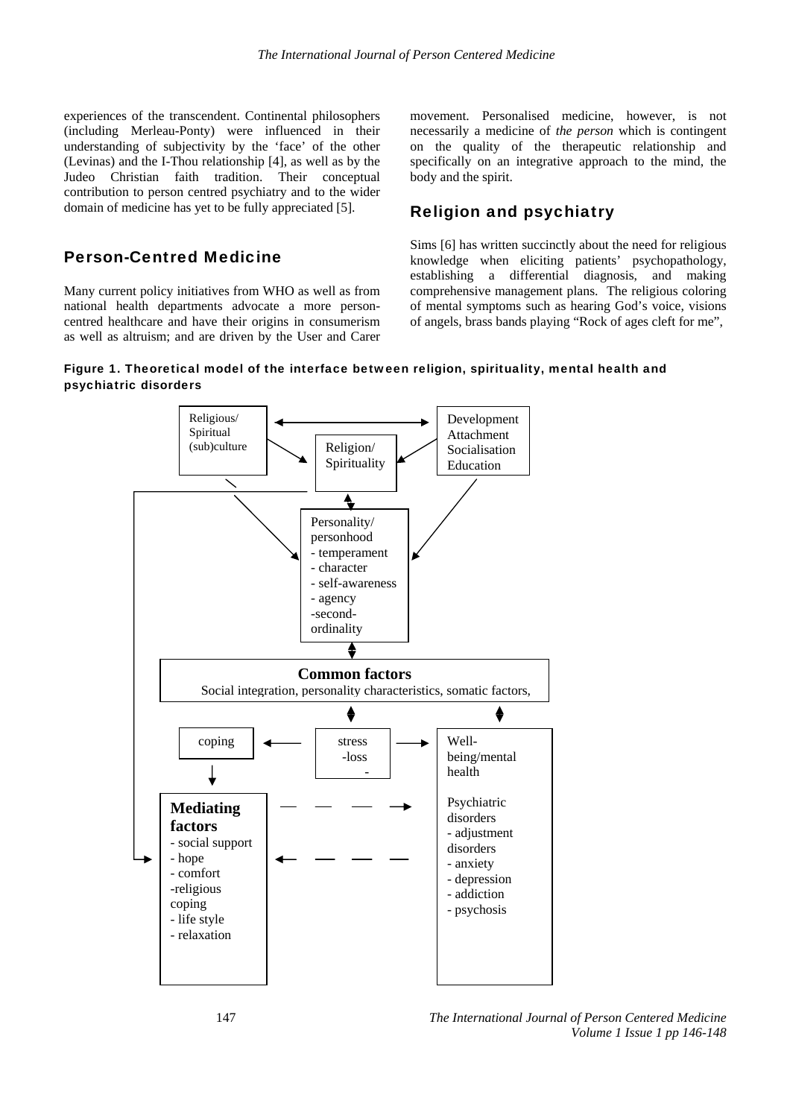experiences of the transcendent. Continental philosophers (including Merleau-Ponty) were influenced in their understanding of subjectivity by the 'face' of the other (Levinas) and the I-Thou relationship [4], as well as by the Judeo Christian faith tradition. Their conceptual contribution to person centred psychiatry and to the wider domain of medicine has yet to be fully appreciated [5].

#### Person-Centred Medicine

Many current policy initiatives from WHO as well as from national health departments advocate a more personcentred healthcare and have their origins in consumerism as well as altruism; and are driven by the User and Carer movement. Personalised medicine, however, is not necessarily a medicine of *the person* which is contingent on the quality of the therapeutic relationship and specifically on an integrative approach to the mind, the body and the spirit.

#### Religion and psychiatry

Sims [6] has written succinctly about the need for religious knowledge when eliciting patients' psychopathology, establishing a differential diagnosis, and making comprehensive management plans. The religious coloring of mental symptoms such as hearing God's voice, visions of angels, brass bands playing "Rock of ages cleft for me",